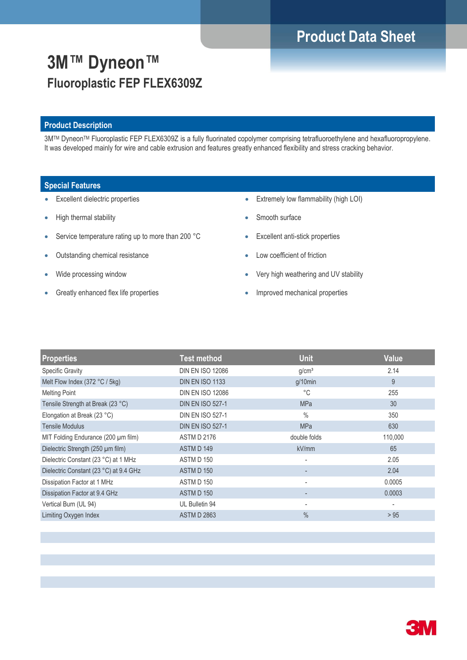# **Product Data Sheet**

# **3M™ Dyneon™ Fluoroplastic FEP FLEX6309Z**

### **Product Description**

3M™ Dyneon™ Fluoroplastic FEP FLEX6309Z is a fully fluorinated copolymer comprising tetrafluoroethylene and hexafluoropropylene. It was developed mainly for wire and cable extrusion and features greatly enhanced flexibility and stress cracking behavior.

### **Special Features**

- Excellent dielectric properties
- High thermal stability
- Service temperature rating up to more than 200 °C
- Outstanding chemical resistance
- Wide processing window
- **Greatly enhanced flex life properties**
- Extremely low flammability (high LOI)
- Smooth surface
- Excellent anti-stick properties
- Low coefficient of friction
- Very high weathering and UV stability
- Improved mechanical properties

| <b>Properties</b>                      | <b>Test method</b>      | <b>Unit</b>              | <b>Value</b>             |
|----------------------------------------|-------------------------|--------------------------|--------------------------|
| <b>Specific Gravity</b>                | <b>DIN EN ISO 12086</b> | g/cm <sup>3</sup>        | 2.14                     |
| Melt Flow Index (372 °C / 5kg)         | <b>DIN EN ISO 1133</b>  | $g/10$ min               | 9                        |
| <b>Melting Point</b>                   | <b>DIN EN ISO 12086</b> | $^{\circ}C$              | 255                      |
| Tensile Strength at Break (23 °C)      | <b>DIN EN ISO 527-1</b> | <b>MPa</b>               | 30                       |
| Elongation at Break (23 °C)            | <b>DIN EN ISO 527-1</b> | $\%$                     | 350                      |
| <b>Tensile Modulus</b>                 | <b>DIN EN ISO 527-1</b> | <b>MPa</b>               | 630                      |
| MIT Folding Endurance (200 µm film)    | <b>ASTM D 2176</b>      | double folds             | 110,000                  |
| Dielectric Strength (250 µm film)      | ASTM D 149              | kV/mm                    | 65                       |
| Dielectric Constant (23 °C) at 1 MHz   | ASTM D 150              | ٠                        | 2.05                     |
| Dielectric Constant (23 °C) at 9.4 GHz | <b>ASTM D 150</b>       |                          | 2.04                     |
| Dissipation Factor at 1 MHz            | <b>ASTM D 150</b>       |                          | 0.0005                   |
| Dissipation Factor at 9.4 GHz          | <b>ASTM D 150</b>       |                          | 0.0003                   |
| Vertical Burn (UL 94)                  | UL Bulletin 94          | $\overline{\phantom{a}}$ | $\overline{\phantom{a}}$ |
| Limiting Oxygen Index                  | <b>ASTM D 2863</b>      | $\frac{0}{0}$            | > 95                     |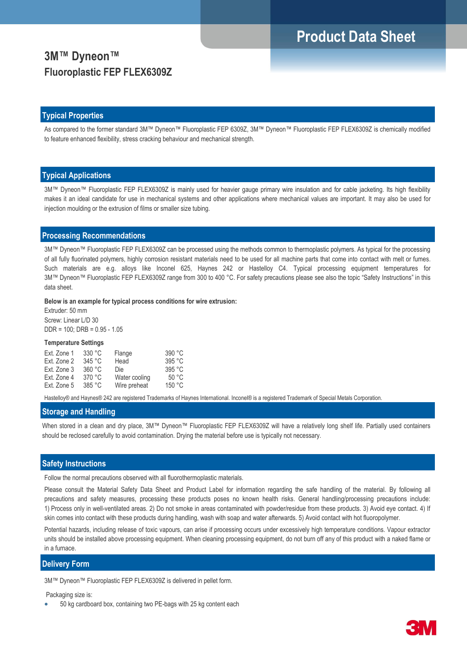# **Product Data Sheet**

## **3M™ Dyneon™ Fluoroplastic FEP FLEX6309Z**

#### **Typical Properties**

As compared to the former standard 3M™ Dyneon™ Fluoroplastic FEP 6309Z, 3M™ Dyneon™ Fluoroplastic FEP FLEX6309Z is chemically modified to feature enhanced flexibility, stress cracking behaviour and mechanical strength.

#### **Typical Applications**

3M™ Dyneon™ Fluoroplastic FEP FLEX6309Z is mainly used for heavier gauge primary wire insulation and for cable jacketing. Its high flexibility makes it an ideal candidate for use in mechanical systems and other applications where mechanical values are important. It may also be used for injection moulding or the extrusion of films or smaller size tubing.

### **Processing Recommendations**

3M™ Dyneon™ Fluoroplastic FEP FLEX6309Z can be processed using the methods common to thermoplastic polymers. As typical for the processing of all fully fluorinated polymers, highly corrosion resistant materials need to be used for all machine parts that come into contact with melt or fumes. Such materials are e.g. alloys like Inconel 625, Haynes 242 or Hastelloy C4. Typical processing equipment temperatures for 3M™ Dyneon™ Fluoroplastic FEP FLEX6309Z range from 300 to 400 °C. For safety precautions please see also the topic "Safety Instructions" in this data sheet.

**Below is an example for typical process conditions for wire extrusion:**

Extruder: 50 mm Screw: Linear L/D 30 DDR = 100; DRB = 0.95 - 1.05

#### **Temperature Settings**

| Ext. Zone 1 | 330 °C | Flange        | 390 °C |
|-------------|--------|---------------|--------|
| Ext. Zone 2 | 345 °C | Head          | 395 °C |
| Ext. Zone 3 | 360 °C | Die           | 395 °C |
| Ext. Zone 4 | 370 °C | Water cooling | 50 °C  |
| Ext. Zone 5 | 385 °C | Wire preheat  | 150 °C |

Hastelloy® and Haynes® 242 are registered Trademarks of Haynes International. Inconel® is a registered Trademark of Special Metals Corporation.

#### **Storage and Handling**

When stored in a clean and dry place, 3M™ Dyneon™ Fluoroplastic FEP FLEX6309Z will have a relatively long shelf life. Partially used containers should be reclosed carefully to avoid contamination. Drying the material before use is typically not necessary.

#### **Safety Instructions**

Follow the normal precautions observed with all fluorothermoplastic materials.

Please consult the Material Safety Data Sheet and Product Label for information regarding the safe handling of the material. By following all precautions and safety measures, processing these products poses no known health risks. General handling/processing precautions include: 1) Process only in well-ventilated areas. 2) Do not smoke in areas contaminated with powder/residue from these products. 3) Avoid eye contact. 4) If skin comes into contact with these products during handling, wash with soap and water afterwards. 5) Avoid contact with hot fluoropolymer.

Potential hazards, including release of toxic vapours, can arise if processing occurs under excessively high temperature conditions. Vapour extractor units should be installed above processing equipment. When cleaning processing equipment, do not burn off any of this product with a naked flame or in a furnace.

#### **Delivery Form**

3M™ Dyneon™ Fluoroplastic FEP FLEX6309Z is delivered in pellet form.

Packaging size is:

• 50 kg cardboard box, containing two PE-bags with 25 kg content each